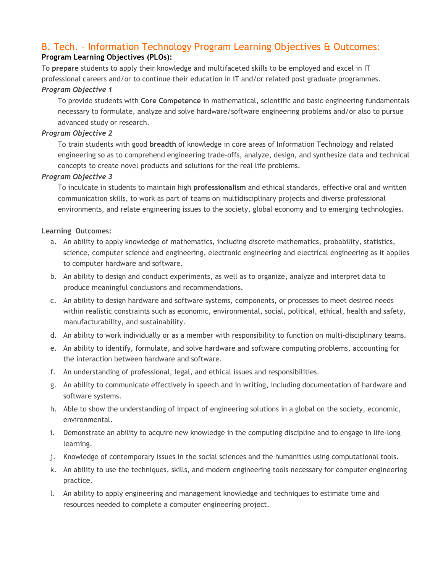## B. Tech. – Information Technology Program Learning Objectives & Outcomes: **Program Learning Objectives (PLOs):**

To **prepare** students to apply their knowledge and multifaceted skills to be employed and excel in IT professional careers and/or to continue their education in IT and/or related post graduate programmes. *Program Objective 1*

To provide students with **Core Competence** in mathematical, scientific and basic engineering fundamentals necessary to formulate, analyze and solve hardware/software engineering problems and/or also to pursue advanced study or research.

## *Program Objective 2*

To train students with good **breadth** of knowledge in core areas of Information Technology and related engineering so as to comprehend engineering trade-offs, analyze, design, and synthesize data and technical concepts to create novel products and solutions for the real life problems.

## *Program Objective 3*

To inculcate in students to maintain high **professionalism** and ethical standards, effective oral and written communication skills, to work as part of teams on multidisciplinary projects and diverse professional environments, and relate engineering issues to the society, global economy and to emerging technologies.

## **Learning Outcomes:**

- a. An ability to apply knowledge of mathematics, including discrete mathematics, probability, statistics, science, computer science and engineering, electronic engineering and electrical engineering as it applies to computer hardware and software.
- b. An ability to design and conduct experiments, as well as to organize, analyze and interpret data to produce meaningful conclusions and recommendations.
- c. An ability to design hardware and software systems, components, or processes to meet desired needs within realistic constraints such as economic, environmental, social, political, ethical, health and safety, manufacturability, and sustainability.
- d. An ability to work individually or as a member with responsibility to function on multi-disciplinary teams.
- e. An ability to identify, formulate, and solve hardware and software computing problems, accounting for the interaction between hardware and software.
- f. An understanding of professional, legal, and ethical issues and responsibilities.
- g. An ability to communicate effectively in speech and in writing, including documentation of hardware and software systems.
- h. Able to show the understanding of impact of engineering solutions in a global on the society, economic, environmental.
- i. Demonstrate an ability to acquire new knowledge in the computing discipline and to engage in life-long learning.
- j. Knowledge of contemporary issues in the social sciences and the humanities using computational tools.
- k. An ability to use the techniques, skills, and modern engineering tools necessary for computer engineering practice.
- l. An ability to apply engineering and management knowledge and techniques to estimate time and resources needed to complete a computer engineering project.